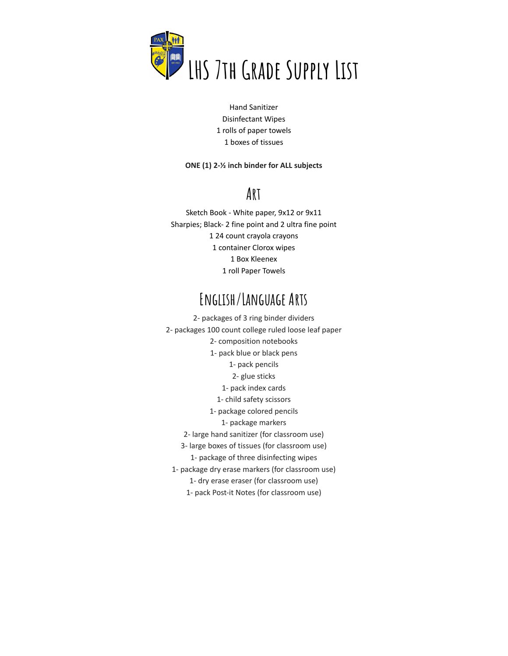

Hand Sanitizer Disinfectant Wipes 1 rolls of paper towels 1 boxes of tissues

#### **ONE (1) 2-½ inch binder for ALL subjects**

## **Art**

Sketch Book - White paper, 9x12 or 9x11 Sharpies; Black- 2 fine point and 2 ultra fine point 24 count crayola crayons container Clorox wipes Box Kleenex roll Paper Towels

### **English/Language Arts**

2- packages of 3 ring binder dividers 2- packages 100 count college ruled loose leaf paper 2- composition notebooks 1- pack blue or black pens 1- pack pencils 2- glue sticks 1- pack index cards 1- child safety scissors 1- package colored pencils 1- package markers 2- large hand sanitizer (for classroom use) 3- large boxes of tissues (for classroom use) 1- package of three disinfecting wipes 1- package dry erase markers (for classroom use) 1- dry erase eraser (for classroom use) 1- pack Post-it Notes (for classroom use)